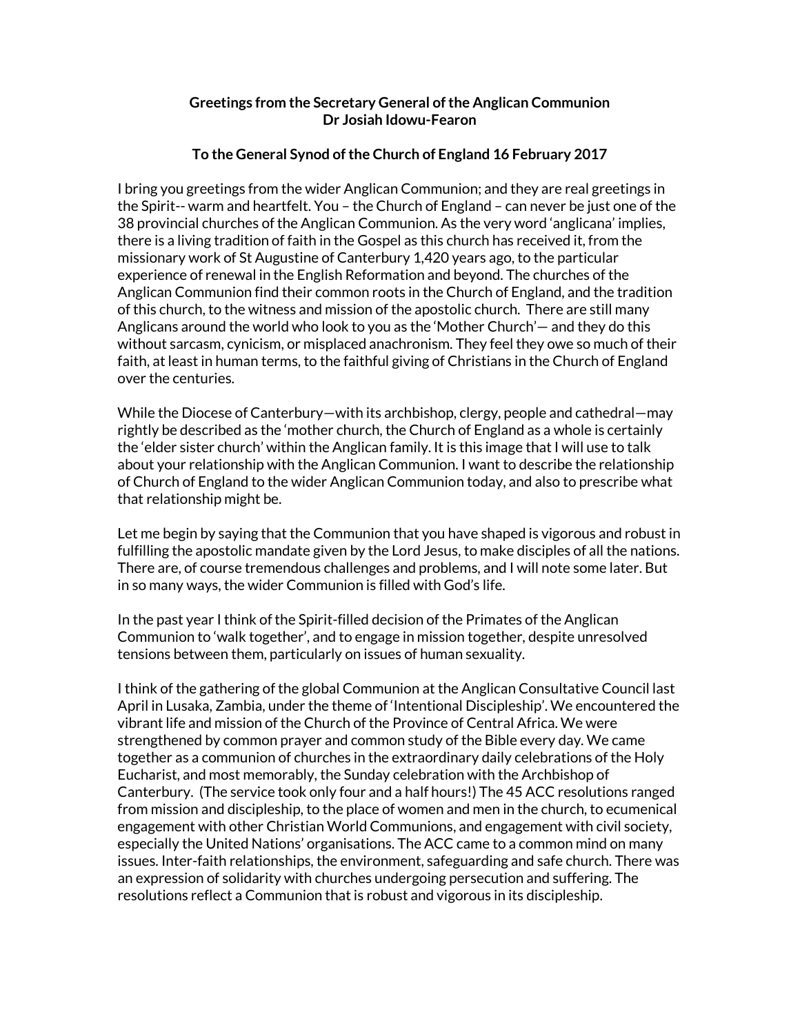## **Greetings from the Secretary General of the Anglican Communion Dr Josiah Idowu-Fearon**

## **To the General Synod of the Church of England 16 February 2017**

I bring you greetings from the wider Anglican Communion; and they are real greetings in the Spirit-- warm and heartfelt. You – the Church of England – can never be just one of the 38 provincial churches of the Anglican Communion. As the very word 'anglicana' implies, there is a living tradition of faith in the Gospel as this church has received it, from the missionary work of St Augustine of Canterbury 1,420 years ago, to the particular experience of renewal in the English Reformation and beyond. The churches of the Anglican Communion find their common roots in the Church of England, and the tradition of this church, to the witness and mission of the apostolic church. There are still many Anglicans around the world who look to you as the 'Mother Church'— and they do this without sarcasm, cynicism, or misplaced anachronism. They feel they owe so much of their faith, at least in human terms, to the faithful giving of Christians in the Church of England over the centuries.

While the Diocese of Canterbury—with its archbishop, clergy, people and cathedral—may rightly be described as the 'mother church, the Church of England as a whole is certainly the 'elder sister church' within the Anglican family. It is this image that I will use to talk about your relationship with the Anglican Communion. I want to describe the relationship of Church of England to the wider Anglican Communion today, and also to prescribe what that relationship might be.

Let me begin by saying that the Communion that you have shaped is vigorous and robust in fulfilling the apostolic mandate given by the Lord Jesus, to make disciples of all the nations. There are, of course tremendous challenges and problems, and I will note some later. But in so many ways, the wider Communion is filled with God's life.

In the past year I think of the Spirit-filled decision of the Primates of the Anglican Communion to 'walk together', and to engage in mission together, despite unresolved tensions between them, particularly on issues of human sexuality.

I think of the gathering of the global Communion at the Anglican Consultative Council last April in Lusaka, Zambia, under the theme of 'Intentional Discipleship'. We encountered the vibrant life and mission of the Church of the Province of Central Africa. We were strengthened by common prayer and common study of the Bible every day. We came together as a communion of churches in the extraordinary daily celebrations of the Holy Eucharist, and most memorably, the Sunday celebration with the Archbishop of Canterbury. (The service took only four and a half hours!) The 45 ACC resolutions ranged from mission and discipleship, to the place of women and men in the church, to ecumenical engagement with other Christian World Communions, and engagement with civil society, especially the United Nations' organisations. The ACC came to a common mind on many issues. Inter-faith relationships, the environment, safeguarding and safe church. There was an expression of solidarity with churches undergoing persecution and suffering. The resolutions reflect a Communion that is robust and vigorous in its discipleship.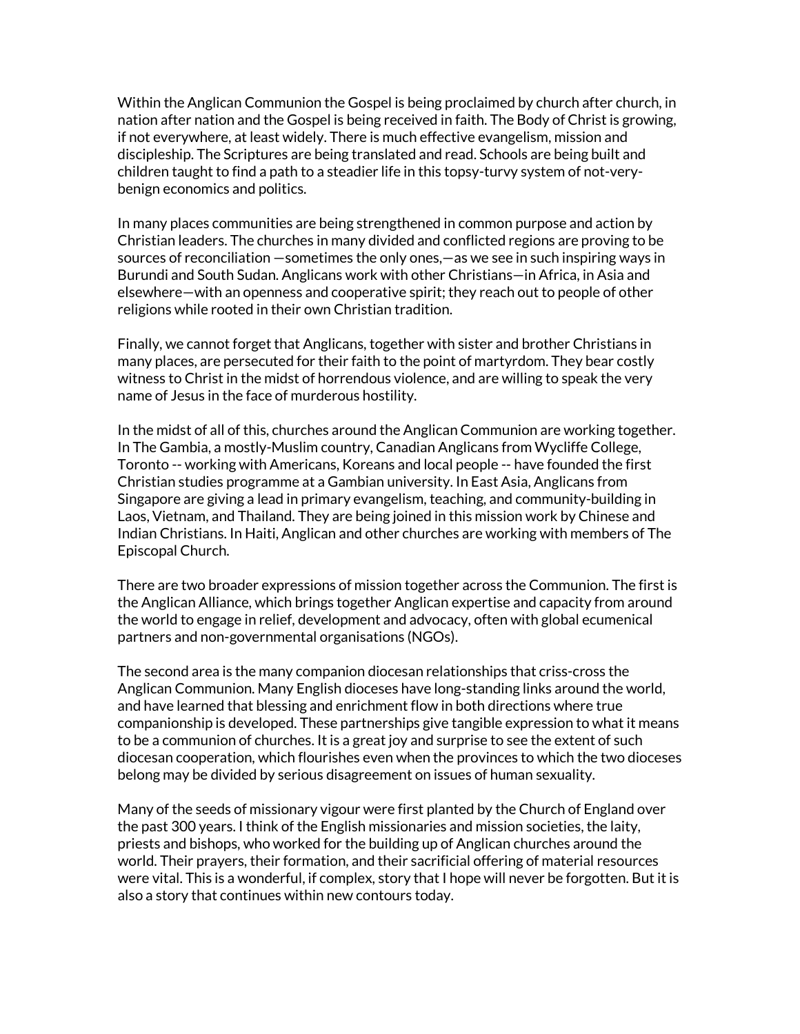Within the Anglican Communion the Gospel is being proclaimed by church after church, in nation after nation and the Gospel is being received in faith. The Body of Christ is growing, if not everywhere, at least widely. There is much effective evangelism, mission and discipleship. The Scriptures are being translated and read. Schools are being built and children taught to find a path to a steadier life in this topsy-turvy system of not-verybenign economics and politics.

In many places communities are being strengthened in common purpose and action by Christian leaders. The churches in many divided and conflicted regions are proving to be sources of reconciliation —sometimes the only ones,—as we see in such inspiring ways in Burundi and South Sudan. Anglicans work with other Christians—in Africa, in Asia and elsewhere—with an openness and cooperative spirit; they reach out to people of other religions while rooted in their own Christian tradition.

Finally, we cannot forget that Anglicans, together with sister and brother Christians in many places, are persecuted for their faith to the point of martyrdom. They bear costly witness to Christ in the midst of horrendous violence, and are willing to speak the very name of Jesus in the face of murderous hostility.

In the midst of all of this, churches around the Anglican Communion are working together. In The Gambia, a mostly-Muslim country, Canadian Anglicans from Wycliffe College, Toronto -- working with Americans, Koreans and local people -- have founded the first Christian studies programme at a Gambian university. In East Asia, Anglicans from Singapore are giving a lead in primary evangelism, teaching, and community-building in Laos, Vietnam, and Thailand. They are being joined in this mission work by Chinese and Indian Christians. In Haiti, Anglican and other churches are working with members of The Episcopal Church.

There are two broader expressions of mission together across the Communion. The first is the Anglican Alliance, which brings together Anglican expertise and capacity from around the world to engage in relief, development and advocacy, often with global ecumenical partners and non-governmental organisations (NGOs).

The second area is the many companion diocesan relationships that criss-cross the Anglican Communion. Many English dioceses have long-standing links around the world, and have learned that blessing and enrichment flow in both directions where true companionship is developed. These partnerships give tangible expression to what it means to be a communion of churches. It is a great joy and surprise to see the extent of such diocesan cooperation, which flourishes even when the provinces to which the two dioceses belong may be divided by serious disagreement on issues of human sexuality.

Many of the seeds of missionary vigour were first planted by the Church of England over the past 300 years. I think of the English missionaries and mission societies, the laity, priests and bishops, who worked for the building up of Anglican churches around the world. Their prayers, their formation, and their sacrificial offering of material resources were vital. This is a wonderful, if complex, story that I hope will never be forgotten. But it is also a story that continues within new contours today.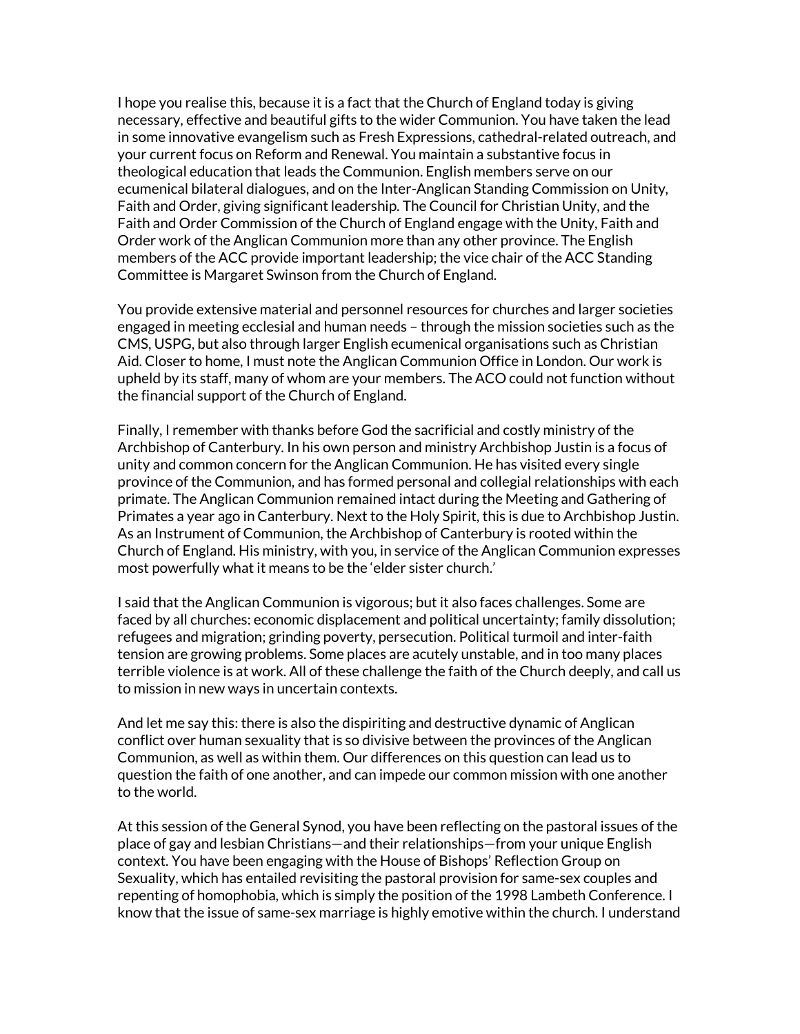I hope you realise this, because it is a fact that the Church of England today is giving necessary, effective and beautiful gifts to the wider Communion. You have taken the lead in some innovative evangelism such as Fresh Expressions, cathedral-related outreach, and your current focus on Reform and Renewal. You maintain a substantive focus in theological education that leads the Communion. English members serve on our ecumenical bilateral dialogues, and on the Inter-Anglican Standing Commission on Unity, Faith and Order, giving significant leadership. The Council for Christian Unity, and the Faith and Order Commission of the Church of England engage with the Unity, Faith and Order work of the Anglican Communion more than any other province. The English members of the ACC provide important leadership; the vice chair of the ACC Standing Committee is Margaret Swinson from the Church of England.

You provide extensive material and personnel resources for churches and larger societies engaged in meeting ecclesial and human needs – through the mission societies such as the CMS, USPG, but also through larger English ecumenical organisations such as Christian Aid. Closer to home, I must note the Anglican Communion Office in London. Our work is upheld by its staff, many of whom are your members. The ACO could not function without the financial support of the Church of England.

Finally, I remember with thanks before God the sacrificial and costly ministry of the Archbishop of Canterbury. In his own person and ministry Archbishop Justin is a focus of unity and common concern for the Anglican Communion. He has visited every single province of the Communion, and has formed personal and collegial relationships with each primate. The Anglican Communion remained intact during the Meeting and Gathering of Primates a year ago in Canterbury. Next to the Holy Spirit, this is due to Archbishop Justin. As an Instrument of Communion, the Archbishop of Canterbury is rooted within the Church of England. His ministry, with you, in service of the Anglican Communion expresses most powerfully what it means to be the 'elder sister church.'

I said that the Anglican Communion is vigorous; but it also faces challenges. Some are faced by all churches: economic displacement and political uncertainty; family dissolution; refugees and migration; grinding poverty, persecution. Political turmoil and inter-faith tension are growing problems. Some places are acutely unstable, and in too many places terrible violence is at work. All of these challenge the faith of the Church deeply, and call us to mission in new ways in uncertain contexts.

And let me say this: there is also the dispiriting and destructive dynamic of Anglican conflict over human sexuality that is so divisive between the provinces of the Anglican Communion, as well as within them. Our differences on this question can lead us to question the faith of one another, and can impede our common mission with one another to the world.

At this session of the General Synod, you have been reflecting on the pastoral issues of the place of gay and lesbian Christians—and their relationships—from your unique English context. You have been engaging with the House of Bishops' Reflection Group on Sexuality, which has entailed revisiting the pastoral provision for same-sex couples and repenting of homophobia, which is simply the position of the 1998 Lambeth Conference. I know that the issue of same-sex marriage is highly emotive within the church. I understand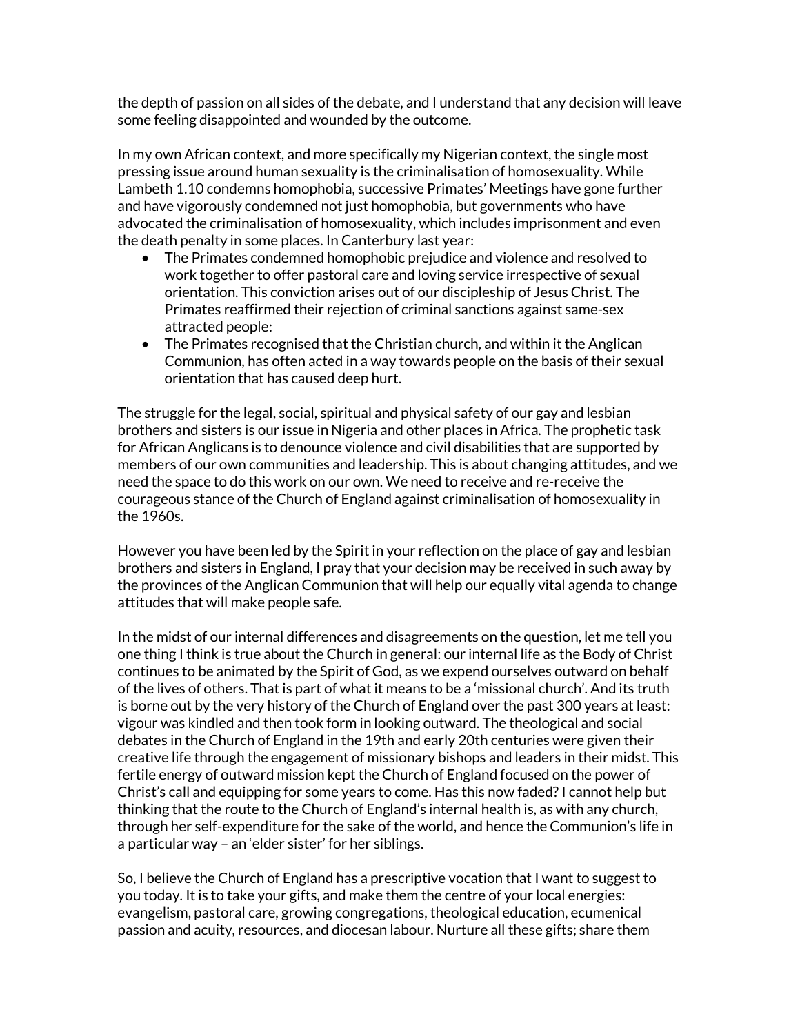the depth of passion on all sides of the debate, and I understand that any decision will leave some feeling disappointed and wounded by the outcome.

In my own African context, and more specifically my Nigerian context, the single most pressing issue around human sexuality is the criminalisation of homosexuality. While Lambeth 1.10 condemns homophobia, successive Primates' Meetings have gone further and have vigorously condemned not just homophobia, but governments who have advocated the criminalisation of homosexuality, which includes imprisonment and even the death penalty in some places. In Canterbury last year:

- The Primates condemned homophobic prejudice and violence and resolved to work together to offer pastoral care and loving service irrespective of sexual orientation. This conviction arises out of our discipleship of Jesus Christ. The Primates reaffirmed their rejection of criminal sanctions against same-sex attracted people:
- The Primates recognised that the Christian church, and within it the Anglican Communion, has often acted in a way towards people on the basis of their sexual orientation that has caused deep hurt.

The struggle for the legal, social, spiritual and physical safety of our gay and lesbian brothers and sisters is our issue in Nigeria and other places in Africa. The prophetic task for African Anglicans is to denounce violence and civil disabilities that are supported by members of our own communities and leadership. This is about changing attitudes, and we need the space to do this work on our own. We need to receive and re-receive the courageous stance of the Church of England against criminalisation of homosexuality in the 1960s.

However you have been led by the Spirit in your reflection on the place of gay and lesbian brothers and sisters in England, I pray that your decision may be received in such away by the provinces of the Anglican Communion that will help our equally vital agenda to change attitudes that will make people safe.

In the midst of our internal differences and disagreements on the question, let me tell you one thing I think is true about the Church in general: our internal life as the Body of Christ continues to be animated by the Spirit of God, as we expend ourselves outward on behalf of the lives of others. That is part of what it means to be a 'missional church'. And its truth is borne out by the very history of the Church of England over the past 300 years at least: vigour was kindled and then took form in looking outward. The theological and social debates in the Church of England in the 19th and early 20th centuries were given their creative life through the engagement of missionary bishops and leaders in their midst. This fertile energy of outward mission kept the Church of England focused on the power of Christ's call and equipping for some years to come. Has this now faded? I cannot help but thinking that the route to the Church of England's internal health is, as with any church, through her self-expenditure for the sake of the world, and hence the Communion's life in a particular way – an 'elder sister' for her siblings.

So, I believe the Church of England has a prescriptive vocation that I want to suggest to you today. It is to take your gifts, and make them the centre of your local energies: evangelism, pastoral care, growing congregations, theological education, ecumenical passion and acuity, resources, and diocesan labour. Nurture all these gifts; share them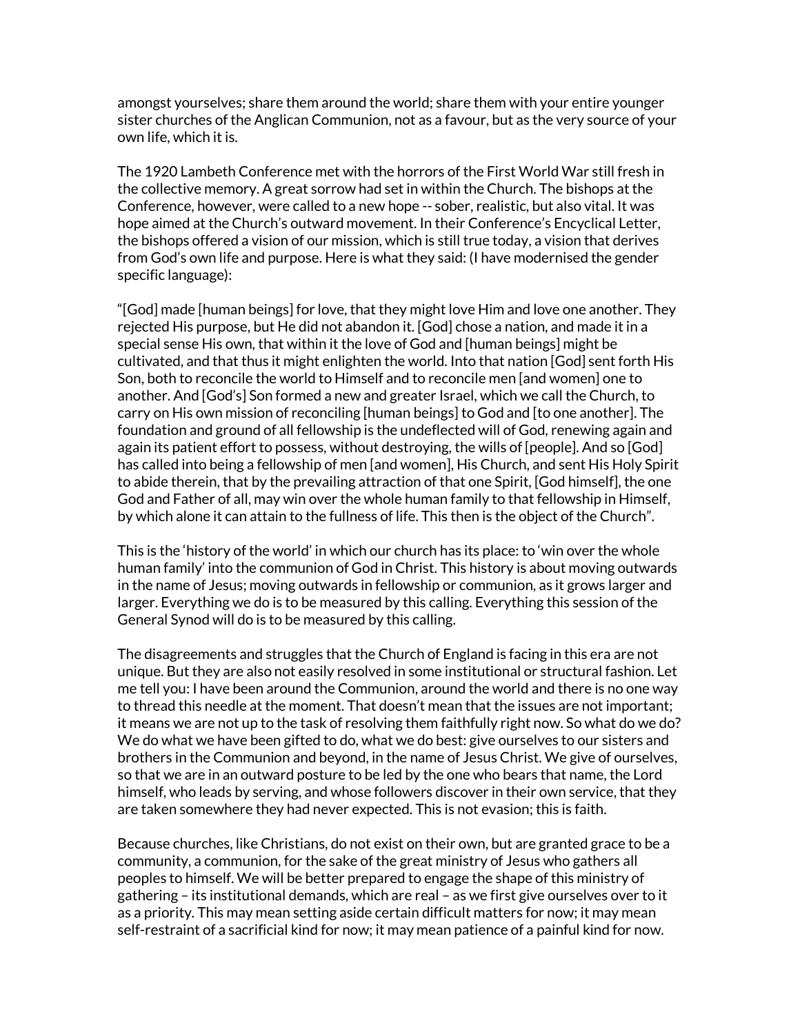amongst yourselves; share them around the world; share them with your entire younger sister churches of the Anglican Communion, not as a favour, but as the very source of your own life, which it is.

The 1920 Lambeth Conference met with the horrors of the First World War still fresh in the collective memory. A great sorrow had set in within the Church. The bishops at the Conference, however, were called to a new hope -- sober, realistic, but also vital. It was hope aimed at the Church's outward movement. In their Conference's Encyclical Letter, the bishops offered a vision of our mission, which is still true today, a vision that derives from God's own life and purpose. Here is what they said: (I have modernised the gender specific language):

"[God] made [human beings] for love, that they might love Him and love one another. They rejected His purpose, but He did not abandon it. [God] chose a nation, and made it in a special sense His own, that within it the love of God and [human beings] might be cultivated, and that thus it might enlighten the world. Into that nation [God] sent forth His Son, both to reconcile the world to Himself and to reconcile men [and women] one to another. And [God's] Son formed a new and greater Israel, which we call the Church, to carry on His own mission of reconciling [human beings] to God and [to one another]. The foundation and ground of all fellowship is the undeflected will of God, renewing again and again its patient effort to possess, without destroying, the wills of [people]. And so [God] has called into being a fellowship of men [and women], His Church, and sent His Holy Spirit to abide therein, that by the prevailing attraction of that one Spirit, [God himself], the one God and Father of all, may win over the whole human family to that fellowship in Himself, by which alone it can attain to the fullness of life. This then is the object of the Church".

This is the 'history of the world' in which our church has its place: to 'win over the whole human family' into the communion of God in Christ. This history is about moving outwards in the name of Jesus; moving outwards in fellowship or communion, as it grows larger and larger. Everything we do is to be measured by this calling. Everything this session of the General Synod will do is to be measured by this calling.

The disagreements and struggles that the Church of England is facing in this era are not unique. But they are also not easily resolved in some institutional or structural fashion. Let me tell you: I have been around the Communion, around the world and there is no one way to thread this needle at the moment. That doesn't mean that the issues are not important; it means we are not up to the task of resolving them faithfully right now. So what do we do? We do what we have been gifted to do, what we do best: give ourselves to our sisters and brothers in the Communion and beyond, in the name of Jesus Christ. We give of ourselves, so that we are in an outward posture to be led by the one who bears that name, the Lord himself, who leads by serving, and whose followers discover in their own service, that they are taken somewhere they had never expected. This is not evasion; this is faith.

Because churches, like Christians, do not exist on their own, but are granted grace to be a community, a communion, for the sake of the great ministry of Jesus who gathers all peoples to himself. We will be better prepared to engage the shape of this ministry of gathering – its institutional demands, which are real – as we first give ourselves over to it as a priority. This may mean setting aside certain difficult matters for now; it may mean self-restraint of a sacrificial kind for now; it may mean patience of a painful kind for now.